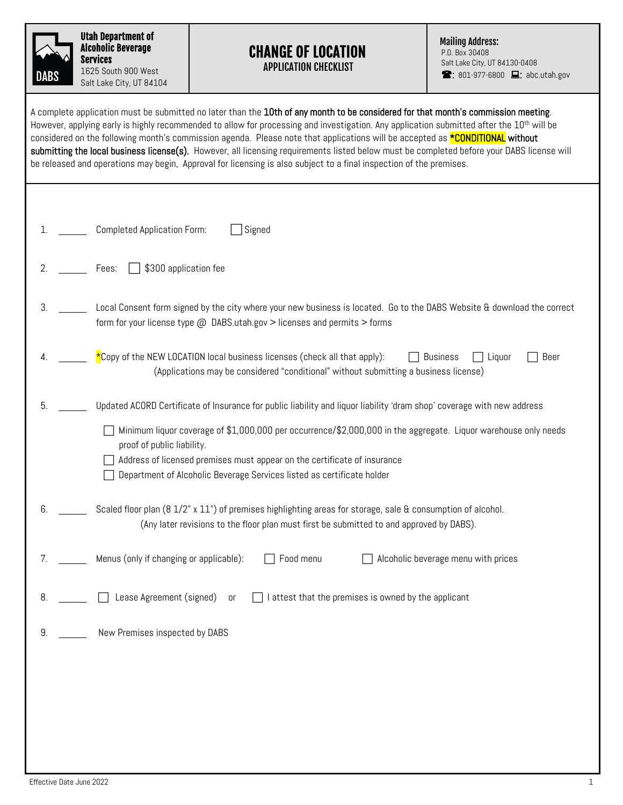| DABS |
|------|

Utah Department of Alcoholic Beverage Services 1625 South 900 West Salt Lake City, UT 84104

## CHANGE OF LOCATION APPLICATION CHECKLIST

Mailing Address:

P.O. Box 30408 Salt Lake City, UT 84130-0408  $\blacksquare$ : 801-977-6800  $\blacksquare$ : abc.utah.gov

| A complete application must be submitted no later than the 10th of any month to be considered for that month's commission meeting.<br>However, applying early is highly recommended to allow for processing and investigation. Any application submitted after the 10 <sup>th</sup> will be<br>considered on the following month's commission agenda. Please note that applications will be accepted as <b>*CONDITIONAL</b> without<br>submitting the local business license(s). However, all licensing requirements listed below must be completed before your DABS license will<br>be released and operations may begin. Approval for licensing is also subject to a final inspection of the premises. |  |  |  |
|----------------------------------------------------------------------------------------------------------------------------------------------------------------------------------------------------------------------------------------------------------------------------------------------------------------------------------------------------------------------------------------------------------------------------------------------------------------------------------------------------------------------------------------------------------------------------------------------------------------------------------------------------------------------------------------------------------|--|--|--|
|                                                                                                                                                                                                                                                                                                                                                                                                                                                                                                                                                                                                                                                                                                          |  |  |  |
| Completed Application Form:<br>Signed<br>1.                                                                                                                                                                                                                                                                                                                                                                                                                                                                                                                                                                                                                                                              |  |  |  |
| \$300 application fee<br>2.<br>Fees:                                                                                                                                                                                                                                                                                                                                                                                                                                                                                                                                                                                                                                                                     |  |  |  |
| 3.<br>Local Consent form signed by the city where your new business is located. Go to the DABS Website & download the correct<br>form for your license type @ DABS.utah.gov > licenses and permits > forms                                                                                                                                                                                                                                                                                                                                                                                                                                                                                               |  |  |  |
| $*$ Copy of the NEW LOCATION local business licenses (check all that apply):<br>Beer<br><b>Business</b><br>Liquor<br>4.<br>(Applications may be considered "conditional" without submitting a business license)                                                                                                                                                                                                                                                                                                                                                                                                                                                                                          |  |  |  |
| Updated ACORD Certificate of Insurance for public liability and liquor liability 'dram shop' coverage with new address<br>5.                                                                                                                                                                                                                                                                                                                                                                                                                                                                                                                                                                             |  |  |  |
| Minimum liquor coverage of \$1,000,000 per occurrence/\$2,000,000 in the aggregate. Liquor warehouse only needs<br>proof of public liability.<br>Address of licensed premises must appear on the certificate of insurance<br>Department of Alcoholic Beverage Services listed as certificate holder                                                                                                                                                                                                                                                                                                                                                                                                      |  |  |  |
| 6.<br>Scaled floor plan (8 1/2" x 11") of premises highlighting areas for storage, sale & consumption of alcohol.<br>(Any later revisions to the floor plan must first be submitted to and approved by DABS).                                                                                                                                                                                                                                                                                                                                                                                                                                                                                            |  |  |  |
| Menus (only if changing or applicable):<br>Food menu<br>Alcoholic beverage menu with prices                                                                                                                                                                                                                                                                                                                                                                                                                                                                                                                                                                                                              |  |  |  |
| Lease Agreement (signed)<br>I attest that the premises is owned by the applicant<br>8.<br>or                                                                                                                                                                                                                                                                                                                                                                                                                                                                                                                                                                                                             |  |  |  |
| New Premises inspected by DABS<br>9.                                                                                                                                                                                                                                                                                                                                                                                                                                                                                                                                                                                                                                                                     |  |  |  |
|                                                                                                                                                                                                                                                                                                                                                                                                                                                                                                                                                                                                                                                                                                          |  |  |  |
|                                                                                                                                                                                                                                                                                                                                                                                                                                                                                                                                                                                                                                                                                                          |  |  |  |
|                                                                                                                                                                                                                                                                                                                                                                                                                                                                                                                                                                                                                                                                                                          |  |  |  |